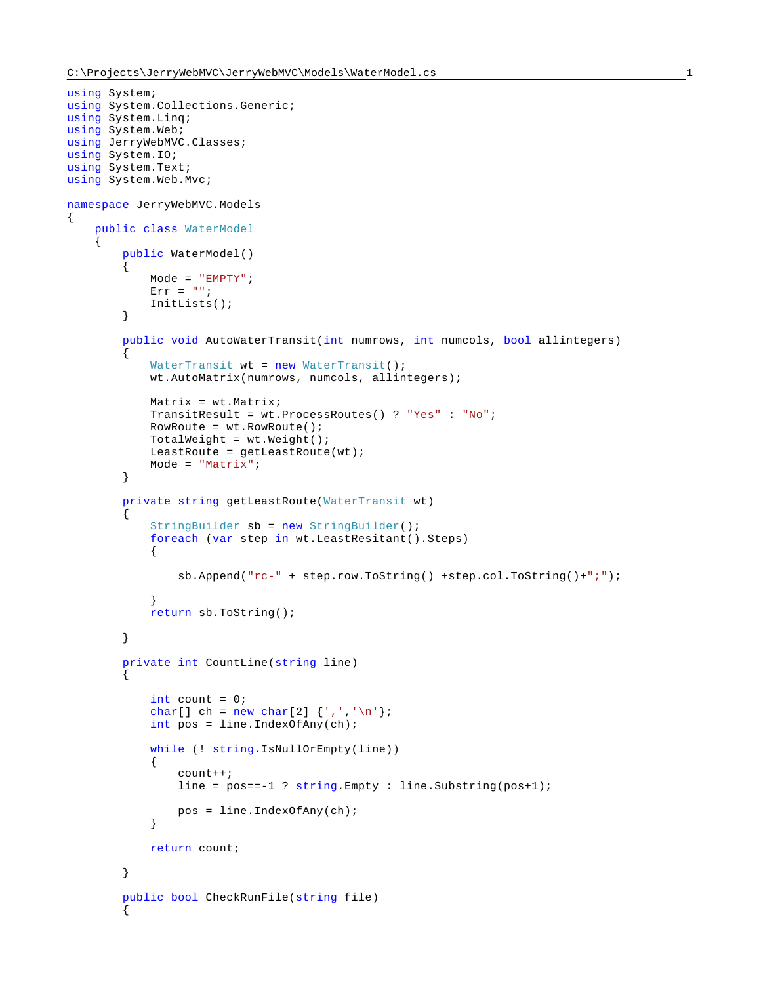```
using System;
using System.Collections.Generic;
using System.Linq;
using System.Web;
using JerryWebMVC.Classes;
using System.IO;
using System.Text;
using System.Web.Mvc;
namespace JerryWebMVC.Models
{
     public class WaterModel
\left\{\begin{array}{ccc} \end{array}\right\} public WaterModel()
         {
             Mode = "EMPTY";
            Err = "";
             InitLists();
         }
         public void AutoWaterTransit(int numrows, int numcols, bool allintegers)
        \mathcal{L}WaterTransit wt = new WaterTransit();
             wt.AutoMatrix(numrows, numcols, allintegers);
             Matrix = wt.Matrix;
             TransitResult = wt.ProcessRoutes() ? "Yes" : "No";
             RowRoute = wt.RowRoute();
             TotalWeight = wt.Weight();
             LeastRoute = getLeastRoute(wt);
             Mode = "Matrix";
         }
         private string getLeastRoute(WaterTransit wt)
\{ StringBuilder sb = new StringBuilder();
             foreach (var step in wt.LeastResitant().Steps)
\{ sb.Append("rc-" + step.row.ToString() +step.col.ToString()+";");
 }
             return sb.ToString();
         }
         private int CountLine(string line)
\{int count = 0;
            char[] ch = new char[2] \{\cdot, \cdot, \cdot\};
             int pos = line.IndexOfAny(ch);
             while (! string.IsNullOrEmpty(line))
\{ count++;
                line = pos == -1 ? string. Empty : line. Substring(pos+1);
            pos = line.IndexOfAny(ch);
 }
             return count;
         }
         public bool CheckRunFile(string file)
\{
```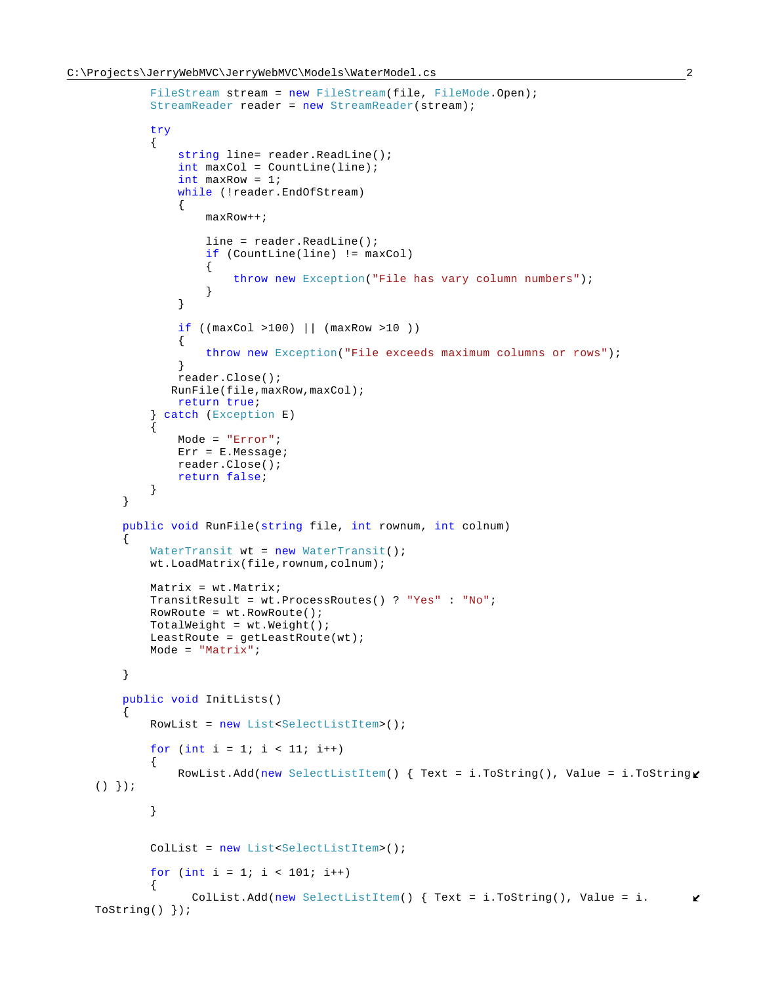```
FileStream stream = new FileStream(file, FileMode.Open);
           StreamReader reader = new StreamReader(stream);
           try
\{ string line= reader.ReadLine();
               int maxCol = CountLine(line);
               int maxRow = 1;
               while (!reader.EndOfStream)
{
                  maxRow++;
                   line = reader.ReadLine();
                  if (CountLine(line) != maxCol)
\{ throw new Exception("File has vary column numbers");
 }
 }
               if ((maxCol >100) || (maxRow >10 ))
{
                   throw new Exception("File exceeds maximum columns or rows");
 }
              reader.Close();
              RunFile(file,maxRow,maxCol);
               return true;
            catch (Exception E)
\{ Mode = "Error";
               Err = E.Message;
               reader.Close();
               return false;
 }
        }
        public void RunFile(string file, int rownum, int colnum)
\{WaterTransit wt = new WaterTransfer();
           wt.LoadMatrix(file,rownum,colnum);
           Matrix = wt.Matrix;
           TransitResult = wt.ProcessRoutes() ? "Yes" : "No";
          RowRowE = wt.RowRoute();
          TotalWeight = wt.Weight();
           LeastRoute = getLeastRoute(wt);
           Mode = "Matrix";
        }
        public void InitLists()
\{ RowList = new List<SelectListItem>();
          for (int i = 1; i < 11; i++)
\{RowList.Add(new SelectListItem() { Text = i.ToString(), Value = i.ToString\ell( )  \} ) ; }
          ColList = new List<SelectListItem>();
          for (int i = 1; i < 101; i++)\{ ColList.Add(new SelectListItem() { Text = i.ToString(), Value = i.
                                                                                  K
   ToString() });
```